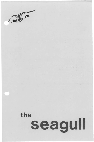

# the seagull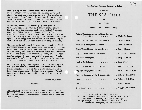Last spring on our campus there was a great deal of discussion--of'ten heated, frequently anguished- about the need for relevance in art. The deaths at Kent State and Jackson State and the incursion into Cambodia seemed to many to make trivial any art that was not aimed at righting these horrendous wrongs.

Relevance, defined so narrowly, poses problems that have been addressed by Marxist critic Ernst Fischer in a fascinating book, Art Against Ideology (London: Allen Lane, The Penguin Press, 1969). Fischer contends that arts are not ideology but **tri**umphs of reality *over* ideology. He believes that prop**agenda is** an inappropriate activity for something as complex as art and is best served by simpler means.

The Sea Gull, subjected to czarist censorship, first presented seventy-four years ago, was selected for its relevance. The young artist seeking to find himself in new forms, the conflict between human and aesthetic values, the anguish of alienated labor, are all meaningful today. It may very well be that one of this production's values is that it permits us to see some of our concerns addressed in a foreign context.

But Chekov's plays are experiential, not ideological. Perhaps the best relevance art can offer is to the human experience, not to the latest formulations a bout that experience. Shakespeare's narrow, forked beast tormented on the heath is still terrifyingly relevant.

Robert Sugarman

#### \*\*\*\*\*\*\*\*

The Sea Gull is set in Sorin's country estate. Two vears elapse between Acts Three and Four. There will be one ten minute intermission between the Second and Third Acts.

Bennington College Drama Division

### presents

## **THE SEA GULL**

by

## Anton Chekov

## Translated by Stark Young

| Irina Nicolayevna Arcadina, Madame<br>Trepleff Lisbeth Shore |
|--------------------------------------------------------------|
| Constantine Gavrilovitch Trepleff Brian Johnston             |
| Pyoter Nicolayevitch Sorin Steve Herrick                     |
| Nina Mikhailovna Zarechnia Nancy Mauro                       |
| Ilya Afanyevitch Shamreyeff William E. Kelley                |
| Paulina Andreyevna Katy Dierlam                              |
| Masha Ilyinishna Joan Poor                                   |
| Boris Alexeyevitch Trigorin Paul R. Cooper                   |
| Tygeny Sergeyevitch Dorn Peter Jon DeVries                   |
| Semyon Semyonovitch Myedvyedenko Ashley Hollister            |
| Yacov Robert Eldridge                                        |
| Cook Rock Townsend                                           |
| Housemaid Peggy Ann Vroman                                   |

Directed by Robert Sugarman Setting, Costumes and Lighting by Richard Kerry Technical Director, William E. Kelley Stage Managers, Rommy Brown, Candace F. Byers Assistant Designer, Susan Sheckler